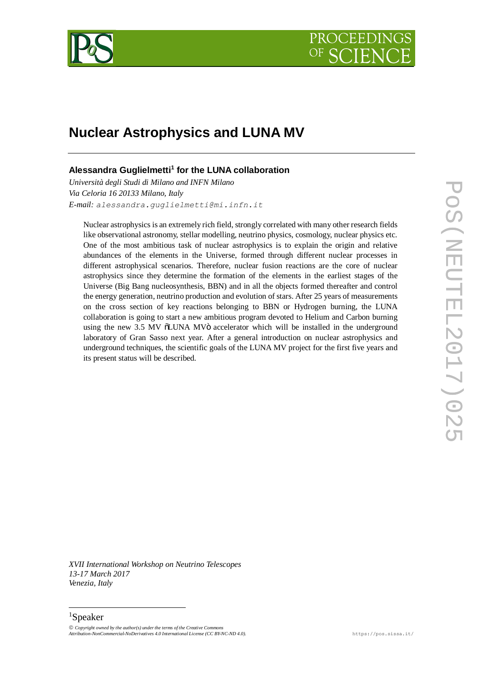

## **Nuclear Astrophysics and LUNA MV**

### **Alessandra Guglielmetti<sup>1</sup> for the LUNA collaboration**

*Università degli Studi di Milano and INFN Milano Via Celoria 16 20133 Milano, Italy E-mail: alessandra.guglielmetti@mi.infn.it*

Nuclear astrophysics is an extremely rich field, strongly correlated with many other research fields like observational astronomy, stellar modelling, neutrino physics, cosmology, nuclear physics etc. One of the most ambitious task of nuclear astrophysics is to explain the origin and relative abundances of the elements in the Universe, formed through different nuclear processes in different astrophysical scenarios. Therefore, nuclear fusion reactions are the core of nuclear astrophysics since they determine the formation of the elements in the earliest stages of the Universe (Big Bang nucleosynthesis, BBN) and in all the objects formed thereafter and control the energy generation, neutrino production and evolution of stars. After 25 years of measurements on the cross section of key reactions belonging to BBN or Hydrogen burning, the LUNA collaboration is going to start a new ambitious program devoted to Helium and Carbon burning using the new 3.5 MV  $\ddot{\text{o}}$ LUNA MV $\ddot{\text{o}}$  accelerator which will be installed in the underground laboratory of Gran Sasso next year. After a general introduction on nuclear astrophysics and underground techniques, the scientific goals of the LUNA MV project for the first five years and its present status will be described.

*XVII International Workshop on Neutrino Telescopes 13-17 March 2017 Venezia, Italy*

# 1 Speaker

" *Copyright owned by the author(s) under the terms of the Creative Commons Attribution-NonCommercial-NoDerivatives 4.0 International License (CC BY-NC-ND 4.0).* https://pos.sissa.it/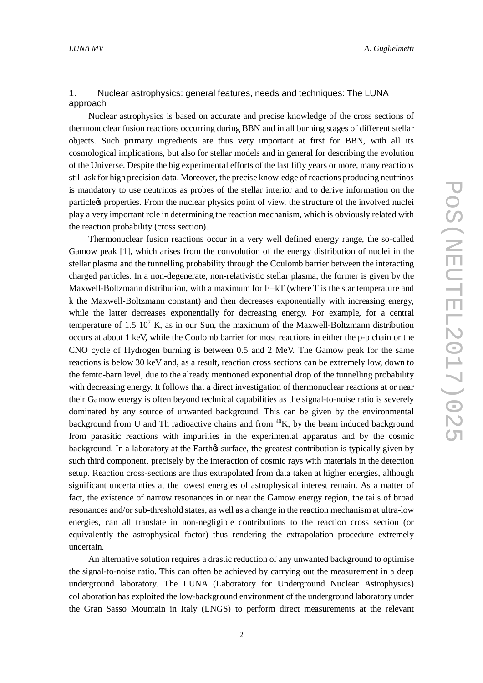#### 1. Nuclear astrophysics: general features, needs and techniques: The LUNA approach

Nuclear astrophysics is based on accurate and precise knowledge of the cross sections of thermonuclear fusion reactions occurring during BBN and in all burning stages of different stellar objects. Such primary ingredients are thus very important at first for BBN, with all its cosmological implications, but also for stellar models and in general for describing the evolution of the Universe. Despite the big experimental efforts of the last fifty years or more, many reactions still ask for high precision data. Moreover, the precise knowledge of reactions producing neutrinos is mandatory to use neutrinos as probes of the stellar interior and to derive information on the particle to properties. From the nuclear physics point of view, the structure of the involved nuclei play a very important role in determining the reaction mechanism, which is obviously related with the reaction probability (cross section).

Thermonuclear fusion reactions occur in a very well defined energy range, the so-called Gamow peak [1], which arises from the convolution of the energy distribution of nuclei in the stellar plasma and the tunnelling probability through the Coulomb barrier between the interacting charged particles. In a non-degenerate, non-relativistic stellar plasma, the former is given by the Maxwell-Boltzmann distribution, with a maximum for E=kT (where T is the star temperature and k the Maxwell-Boltzmann constant) and then decreases exponentially with increasing energy, while the latter decreases exponentially for decreasing energy. For example, for a central temperature of 1.5  $10^7$  K, as in our Sun, the maximum of the Maxwell-Boltzmann distribution occurs at about 1 keV, while the Coulomb barrier for most reactions in either the p-p chain or the CNO cycle of Hydrogen burning is between 0.5 and 2 MeV. The Gamow peak for the same reactions is below 30 keV and, as a result, reaction cross sections can be extremely low, down to the femto-barn level, due to the already mentioned exponential drop of the tunnelling probability with decreasing energy. It follows that a direct investigation of thermonuclear reactions at or near their Gamow energy is often beyond technical capabilities as the signal-to-noise ratio is severely dominated by any source of unwanted background. This can be given by the environmental background from U and Th radioactive chains and from  ${}^{40}K$ , by the beam induced background from parasitic reactions with impurities in the experimental apparatus and by the cosmic background. In a laboratory at the Earth is surface, the greatest contribution is typically given by such third component, precisely by the interaction of cosmic rays with materials in the detection setup. Reaction cross-sections are thus extrapolated from data taken at higher energies, although significant uncertainties at the lowest energies of astrophysical interest remain. As a matter of fact, the existence of narrow resonances in or near the Gamow energy region, the tails of broad resonances and/or sub-threshold states, as well as a change in the reaction mechanism at ultra-low energies, can all translate in non-negligible contributions to the reaction cross section (or equivalently the astrophysical factor) thus rendering the extrapolation procedure extremely uncertain.

An alternative solution requires a drastic reduction of any unwanted background to optimise the signal-to-noise ratio. This can often be achieved by carrying out the measurement in a deep underground laboratory. The LUNA (Laboratory for Underground Nuclear Astrophysics) collaboration has exploited the low-background environment of the underground laboratory under the Gran Sasso Mountain in Italy (LNGS) to perform direct measurements at the relevant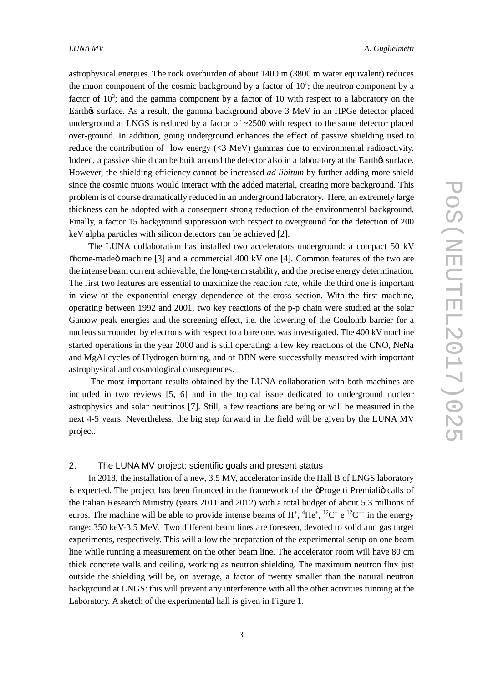astrophysical energies. The rock overburden of about 1400 m (3800 m water equivalent) reduces the muon component of the cosmic background by a factor of  $10<sup>6</sup>$ ; the neutron component by a factor of  $10<sup>3</sup>$ ; and the gamma component by a factor of 10 with respect to a laboratory on the Earth & surface. As a result, the gamma background above 3 MeV in an HPGe detector placed underground at LNGS is reduced by a factor of  $\sim$ 2500 with respect to the same detector placed over-ground. In addition, going underground enhances the effect of passive shielding used to reduce the contribution of low energy  $\ll$  MeV) gammas due to environmental radioactivity. Indeed, a passive shield can be built around the detector also in a laboratory at the Earthos surface. However, the shielding efficiency cannot be increased *ad libitum* by further adding more shield since the cosmic muons would interact with the added material, creating more background. This problem is of course dramatically reduced in an underground laboratory. Here, an extremely large thickness can be adopted with a consequent strong reduction of the environmental background. Finally, a factor 15 background suppression with respect to overground for the detection of 200 keV alpha particles with silicon detectors can be achieved [2].

The LUNA collaboration has installed two accelerators underground: a compact 50 kV  $\delta$ home-made machine [3] and a commercial 400 kV one [4]. Common features of the two are the intense beam current achievable, the long-term stability, and the precise energy determination. The first two features are essential to maximize the reaction rate, while the third one is important in view of the exponential energy dependence of the cross section. With the first machine, operating between 1992 and 2001, two key reactions of the p-p chain were studied at the solar Gamow peak energies and the screening effect, i.e. the lowering of the Coulomb barrier for a nucleus surrounded by electrons with respect to a bare one, was investigated. The 400 kV machine started operations in the year 2000 and is still operating: a few key reactions of the CNO, NeNa and MgAl cycles of Hydrogen burning, and of BBN were successfully measured with important astrophysical and cosmological consequences.

The most important results obtained by the LUNA collaboration with both machines are included in two reviews [5, 6] and in the topical issue dedicated to underground nuclear astrophysics and solar neutrinos [7]. Still, a few reactions are being or will be measured in the next 4-5 years. Nevertheless, the big step forward in the field will be given by the LUNA MV project.

#### 2. The LUNA MV project: scientific goals and present status

In 2018, the installation of a new, 3.5 MV, accelerator inside the Hall B of LNGS laboratory is expected. The project has been financed in the framework of the öProgetti Premialiö calls of the Italian Research Ministry (years 2011 and 2012) with a total budget of about 5.3 millions of euros. The machine will be able to provide intense beams of  $H^+$ ,  $^4He^+$ ,  $^{12}C^+$  e  $^{12}C^{++}$  in the energy range: 350 keV-3.5 MeV. Two different beam lines are foreseen, devoted to solid and gas target experiments, respectively. This will allow the preparation of the experimental setup on one beam line while running a measurement on the other beam line. The accelerator room will have 80 cm thick concrete walls and ceiling, working as neutron shielding. The maximum neutron flux just outside the shielding will be, on average, a factor of twenty smaller than the natural neutron background at LNGS: this will prevent any interference with all the other activities running at the Laboratory. A sketch of the experimental hall is given in Figure 1.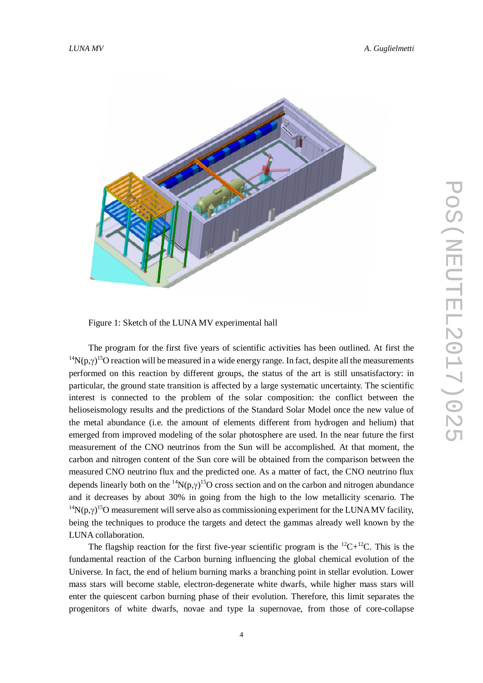

Figure 1: Sketch of the LUNA MV experimental hall

The program for the first five years of scientific activities has been outlined. At first the <sup>14</sup>N(p, $\gamma$ )<sup>15</sup>O reaction will be measured in a wide energy range. In fact, despite all the measurements performed on this reaction by different groups, the status of the art is still unsatisfactory: in particular, the ground state transition is affected by a large systematic uncertainty. The scientific interest is connected to the problem of the solar composition: the conflict between the helioseismology results and the predictions of the Standard Solar Model once the new value of the metal abundance (i.e. the amount of elements different from hydrogen and helium) that emerged from improved modeling of the solar photosphere are used. In the near future the first measurement of the CNO neutrinos from the Sun will be accomplished. At that moment, the carbon and nitrogen content of the Sun core will be obtained from the comparison between the measured CNO neutrino flux and the predicted one. As a matter of fact, the CNO neutrino flux depends linearly both on the <sup>14</sup>N(p, $\gamma$ )<sup>15</sup>O cross section and on the carbon and nitrogen abundance and it decreases by about 30% in going from the high to the low metallicity scenario. The <sup>14</sup>N(p, $\gamma$ )<sup>15</sup>O measurement will serve also as commissioning experiment for the LUNA MV facility, being the techniques to produce the targets and detect the gammas already well known by the LUNA collaboration.

The flagship reaction for the first five-year scientific program is the  ${}^{12}C+{}^{12}C$ . This is the fundamental reaction of the Carbon burning influencing the global chemical evolution of the Universe. In fact, the end of helium burning marks a branching point in stellar evolution. Lower mass stars will become stable, electron-degenerate white dwarfs, while higher mass stars will enter the quiescent carbon burning phase of their evolution. Therefore, this limit separates the progenitors of white dwarfs, novae and type Ia supernovae, from those of core-collapse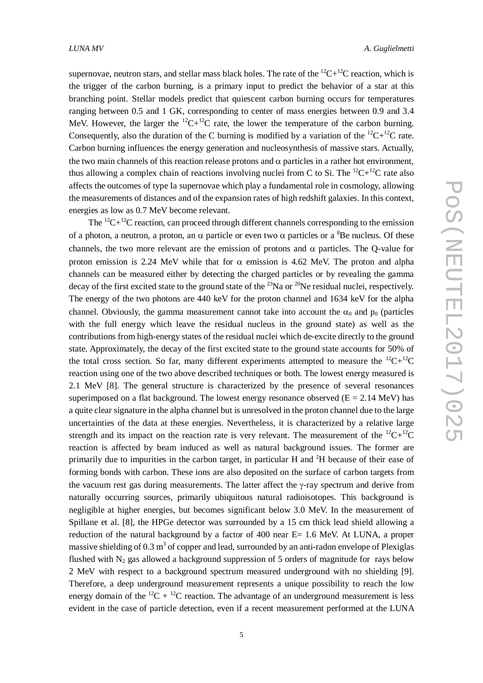supernovae, neutron stars, and stellar mass black holes. The rate of the  ${}^{12}C+{}^{12}C$  reaction, which is the trigger of the carbon burning, is a primary input to predict the behavior of a star at this branching point. Stellar models predict that quiescent carbon burning occurs for temperatures ranging between 0.5 and 1 GK, corresponding to center of mass energies between 0.9 and 3.4 MeV. However, the larger the  ${}^{12}C+{}^{12}C$  rate, the lower the temperature of the carbon burning. Consequently, also the duration of the C burning is modified by a variation of the  ${}^{12}C+{}^{12}C$  rate. Carbon burning influences the energy generation and nucleosynthesis of massive stars. Actually, the two main channels of this reaction release protons and  $\alpha$  particles in a rather hot environment, thus allowing a complex chain of reactions involving nuclei from C to Si. The  ${}^{12}C+{}^{12}C$  rate also affects the outcomes of type Ia supernovae which play a fundamental role in cosmology, allowing the measurements of distances and of the expansion rates of high redshift galaxies. In this context, energies as low as 0.7 MeV become relevant.

The  ${}^{12}C+{}^{12}C$  reaction, can proceed through different channels corresponding to the emission of a photon, a neutron, a proton, an  $\alpha$  particle or even two  $\alpha$  particles or a <sup>8</sup>Be nucleus. Of these channels, the two more relevant are the emission of protons and  $\alpha$  particles. The Q-value for proton emission is 2.24 MeV while that for  $\alpha$  emission is 4.62 MeV. The proton and alpha channels can be measured either by detecting the charged particles or by revealing the gamma decay of the first excited state to the ground state of the  $^{23}$ Na or  $^{20}$ Ne residual nuclei, respectively. The energy of the two photons are 440 keV for the proton channel and 1634 keV for the alpha channel. Obviously, the gamma measurement cannot take into account the  $\alpha_0$  and  $p_0$  (particles with the full energy which leave the residual nucleus in the ground state) as well as the contributions from high-energy states of the residual nuclei which de-excite directly to the ground state. Approximately, the decay of the first excited state to the ground state accounts for 50% of the total cross section. So far, many different experiments attempted to measure the  ${}^{12}C+{}^{12}C$ reaction using one of the two above described techniques or both. The lowest energy measured is 2.1 MeV [8]. The general structure is characterized by the presence of several resonances superimposed on a flat background. The lowest energy resonance observed  $(E = 2.14 \text{ MeV})$  has a quite clear signature in the alpha channel but is unresolved in the proton channel due to the large uncertainties of the data at these energies. Nevertheless, it is characterized by a relative large strength and its impact on the reaction rate is very relevant. The measurement of the  ${}^{12}C+{}^{12}C$ reaction is affected by beam induced as well as natural background issues. The former are primarily due to impurities in the carbon target, in particular H and <sup>2</sup>H because of their ease of forming bonds with carbon. These ions are also deposited on the surface of carbon targets from the vacuum rest gas during measurements. The latter affect the  $\gamma$ -ray spectrum and derive from naturally occurring sources, primarily ubiquitous natural radioisotopes. This background is negligible at higher energies, but becomes significant below 3.0 MeV. In the measurement of Spillane et al. [8], the HPGe detector was surrounded by a 15 cm thick lead shield allowing a reduction of the natural background by a factor of 400 near E= 1.6 MeV. At LUNA, a proper massive shielding of  $0.3 \text{ m}^3$  of copper and lead, surrounded by an anti-radon envelope of Plexiglas flushed with  $N_2$  gas allowed a background suppression of 5 orders of magnitude for rays below 2 MeV with respect to a background spectrum measured underground with no shielding [9]. Therefore, a deep underground measurement represents a unique possibility to reach the low energy domain of the  ${}^{12}C + {}^{12}C$  reaction. The advantage of an underground measurement is less evident in the case of particle detection, even if a recent measurement performed at the LUNA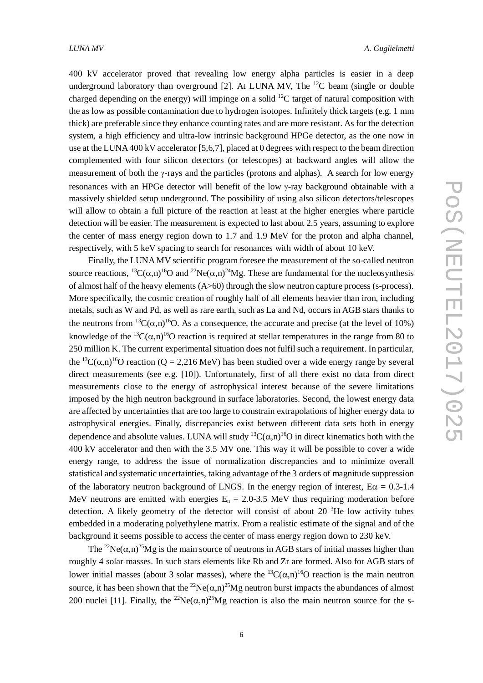400 kV accelerator proved that revealing low energy alpha particles is easier in a deep underground laboratory than overground [2]. At LUNA MV, The  $^{12}C$  beam (single or double charged depending on the energy) will impinge on a solid  $^{12}C$  target of natural composition with the as low as possible contamination due to hydrogen isotopes. Infinitely thick targets (e.g. 1 mm thick) are preferable since they enhance counting rates and are more resistant. As for the detection system, a high efficiency and ultra-low intrinsic background HPGe detector, as the one now in use at the LUNA 400 kV accelerator [5,6,7], placed at 0 degrees with respect to the beam direction complemented with four silicon detectors (or telescopes) at backward angles will allow the measurement of both the  $\gamma$ -rays and the particles (protons and alphas). A search for low energy resonances with an HPGe detector will benefit of the low  $\gamma$ -ray background obtainable with a massively shielded setup underground. The possibility of using also silicon detectors/telescopes will allow to obtain a full picture of the reaction at least at the higher energies where particle detection will be easier. The measurement is expected to last about 2.5 years, assuming to explore the center of mass energy region down to 1.7 and 1.9 MeV for the proton and alpha channel, respectively, with 5 keV spacing to search for resonances with width of about 10 keV.

Finally, the LUNA MV scientific program foresee the measurement of the so-called neutron source reactions,  ${}^{13}C(\alpha,n){}^{16}O$  and  ${}^{22}Ne(\alpha,n){}^{24}Me$ . These are fundamental for the nucleosynthesis of almost half of the heavy elements (A>60) through the slow neutron capture process (s-process). More specifically, the cosmic creation of roughly half of all elements heavier than iron, including metals, such as W and Pd, as well as rare earth, such as La and Nd, occurs in AGB stars thanks to the neutrons from <sup>13</sup>C( $\alpha$ ,n)<sup>16</sup>O. As a consequence, the accurate and precise (at the level of 10%) knowledge of the <sup>13</sup>C( $\alpha$ ,n)<sup>16</sup>O reaction is required at stellar temperatures in the range from 80 to 250 million K. The current experimental situation does not fulfil such a requirement. In particular, the <sup>13</sup>C( $\alpha$ ,n)<sup>16</sup>O reaction (Q = 2,216 MeV) has been studied over a wide energy range by several direct measurements (see e.g. [10]). Unfortunately, first of all there exist no data from direct measurements close to the energy of astrophysical interest because of the severe limitations imposed by the high neutron background in surface laboratories. Second, the lowest energy data are affected by uncertainties that are too large to constrain extrapolations of higher energy data to astrophysical energies. Finally, discrepancies exist between different data sets both in energy dependence and absolute values. LUNA will study <sup>13</sup>C( $\alpha$ ,n)<sup>16</sup>O in direct kinematics both with the 400 kV accelerator and then with the 3.5 MV one. This way it will be possible to cover a wide energy range, to address the issue of normalization discrepancies and to minimize overall statistical and systematic uncertainties, taking advantage of the 3 orders of magnitude suppression of the laboratory neutron background of LNGS. In the energy region of interest,  $E\alpha = 0.3$ -1.4 MeV neutrons are emitted with energies  $E_n = 2.0$ -3.5 MeV thus requiring moderation before detection. A likely geometry of the detector will consist of about 20  ${}^{3}$ He low activity tubes embedded in a moderating polyethylene matrix. From a realistic estimate of the signal and of the background it seems possible to access the center of mass energy region down to 230 keV.

The <sup>22</sup>Ne( $\alpha$ ,n)<sup>25</sup>Mg is the main source of neutrons in AGB stars of initial masses higher than roughly 4 solar masses. In such stars elements like Rb and Zr are formed. Also for AGB stars of lower initial masses (about 3 solar masses), where the <sup>13</sup>C( $\alpha$ ,n)<sup>16</sup>O reaction is the main neutron source, it has been shown that the <sup>22</sup>Ne( $\alpha$ ,n)<sup>25</sup>Mg neutron burst impacts the abundances of almost 200 nuclei [11]. Finally, the <sup>22</sup>Ne( $\alpha$ ,n)<sup>25</sup>Mg reaction is also the main neutron source for the s-